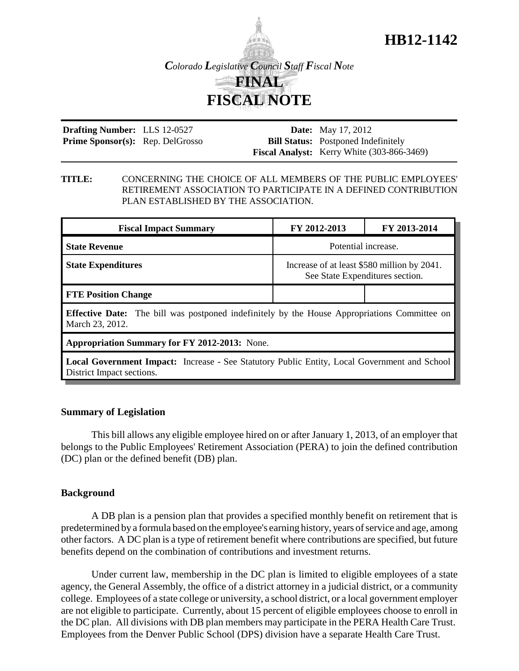

**Drafting Number:** LLS 12-0527 Prime Sponsor(s): Rep. DelGrosso

**Date:** May 17, 2012 **Bill Status:** Postponed Indefinitely **Fiscal Analyst:** Kerry White (303-866-3469)

**HB12-1142**

#### **TITLE:** CONCERNING THE CHOICE OF ALL MEMBERS OF THE PUBLIC EMPLOYEES' RETIREMENT ASSOCIATION TO PARTICIPATE IN A DEFINED CONTRIBUTION PLAN ESTABLISHED BY THE ASSOCIATION.

| <b>Fiscal Impact Summary</b>                                                                                                     | FY 2012-2013                                                                   | FY 2013-2014 |
|----------------------------------------------------------------------------------------------------------------------------------|--------------------------------------------------------------------------------|--------------|
| <b>State Revenue</b>                                                                                                             | Potential increase.                                                            |              |
| <b>State Expenditures</b>                                                                                                        | Increase of at least \$580 million by 2041.<br>See State Expenditures section. |              |
| <b>FTE Position Change</b>                                                                                                       |                                                                                |              |
| <b>Effective Date:</b> The bill was postponed indefinitely by the House Appropriations Committee on<br>March 23, 2012.           |                                                                                |              |
| <b>Appropriation Summary for FY 2012-2013:</b> None.                                                                             |                                                                                |              |
| <b>Local Government Impact:</b> Increase - See Statutory Public Entity, Local Government and School<br>District Impact sections. |                                                                                |              |

## **Summary of Legislation**

This bill allows any eligible employee hired on or after January 1, 2013, of an employer that belongs to the Public Employees' Retirement Association (PERA) to join the defined contribution (DC) plan or the defined benefit (DB) plan.

## **Background**

A DB plan is a pension plan that provides a specified monthly benefit on retirement that is predetermined by a formula based on the employee's earning history, years of service and age, among other factors. A DC plan is a type of retirement benefit where contributions are specified, but future benefits depend on the combination of contributions and investment returns.

Under current law, membership in the DC plan is limited to eligible employees of a state agency, the General Assembly, the office of a district attorney in a judicial district, or a community college. Employees of a state college or university, a school district, or a local government employer are not eligible to participate. Currently, about 15 percent of eligible employees choose to enroll in the DC plan. All divisions with DB plan members may participate in the PERA Health Care Trust. Employees from the Denver Public School (DPS) division have a separate Health Care Trust.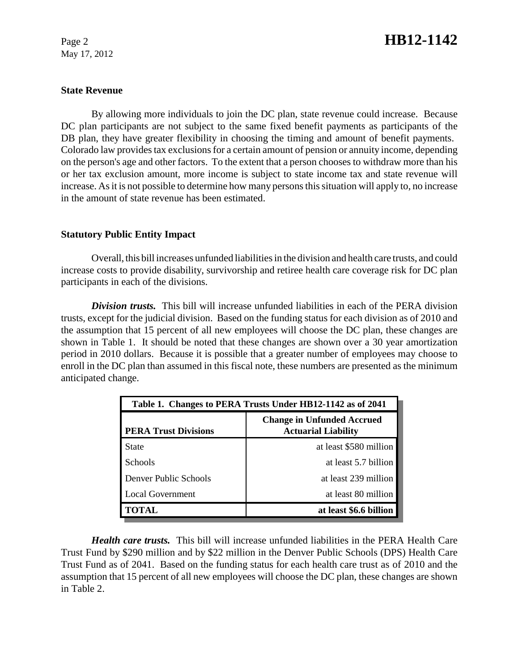May 17, 2012

# Page 2 **HB12-1142**

#### **State Revenue**

By allowing more individuals to join the DC plan, state revenue could increase. Because DC plan participants are not subject to the same fixed benefit payments as participants of the DB plan, they have greater flexibility in choosing the timing and amount of benefit payments. Colorado law provides tax exclusions for a certain amount of pension or annuity income, depending on the person's age and other factors. To the extent that a person chooses to withdraw more than his or her tax exclusion amount, more income is subject to state income tax and state revenue will increase. As it is not possible to determine how many persons this situation will apply to, no increase in the amount of state revenue has been estimated.

### **Statutory Public Entity Impact**

Overall, this bill increases unfunded liabilities in the division and health care trusts, and could increase costs to provide disability, survivorship and retiree health care coverage risk for DC plan participants in each of the divisions.

*Division trusts.* This bill will increase unfunded liabilities in each of the PERA division trusts, except for the judicial division. Based on the funding status for each division as of 2010 and the assumption that 15 percent of all new employees will choose the DC plan, these changes are shown in Table 1. It should be noted that these changes are shown over a 30 year amortization period in 2010 dollars. Because it is possible that a greater number of employees may choose to enroll in the DC plan than assumed in this fiscal note, these numbers are presented as the minimum anticipated change.

| Table 1. Changes to PERA Trusts Under HB12-1142 as of 2041 |                                                                 |  |
|------------------------------------------------------------|-----------------------------------------------------------------|--|
| <b>PERA Trust Divisions</b>                                | <b>Change in Unfunded Accrued</b><br><b>Actuarial Liability</b> |  |
| State                                                      | at least \$580 million                                          |  |
| <b>Schools</b>                                             | at least 5.7 billion                                            |  |
| Denver Public Schools                                      | at least 239 million                                            |  |
| Local Government                                           | at least 80 million                                             |  |
| <b>TOTAL</b>                                               | at least \$6.6 billion                                          |  |

*Health care trusts.* This bill will increase unfunded liabilities in the PERA Health Care Trust Fund by \$290 million and by \$22 million in the Denver Public Schools (DPS) Health Care Trust Fund as of 2041. Based on the funding status for each health care trust as of 2010 and the assumption that 15 percent of all new employees will choose the DC plan, these changes are shown in Table 2.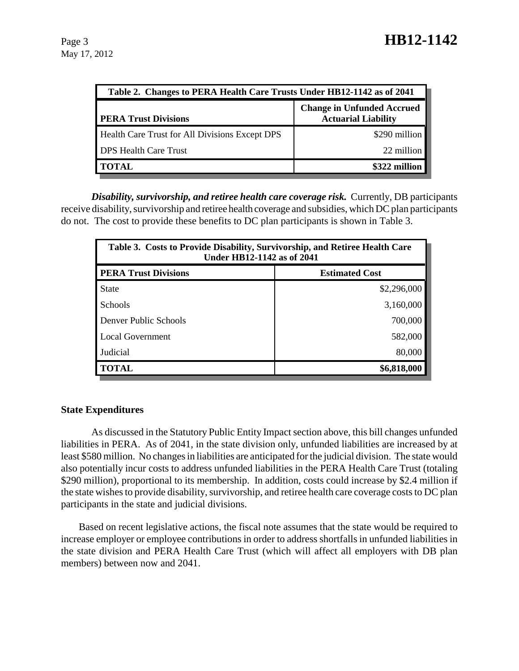| Table 2. Changes to PERA Health Care Trusts Under HB12-1142 as of 2041 |                                                                 |  |
|------------------------------------------------------------------------|-----------------------------------------------------------------|--|
| <b>PERA Trust Divisions</b>                                            | <b>Change in Unfunded Accrued</b><br><b>Actuarial Liability</b> |  |
| Health Care Trust for All Divisions Except DPS                         | \$290 million                                                   |  |
| <b>DPS Health Care Trust</b>                                           | 22 million                                                      |  |
| <b>TOTAL</b>                                                           | \$322 million                                                   |  |

*Disability, survivorship, and retiree health care coverage risk.* Currently, DB participants receive disability, survivorship and retiree health coverage and subsidies, which DC plan participants do not. The cost to provide these benefits to DC plan participants is shown in Table 3.

| Table 3. Costs to Provide Disability, Survivorship, and Retiree Health Care<br><b>Under HB12-1142 as of 2041</b> |                       |  |
|------------------------------------------------------------------------------------------------------------------|-----------------------|--|
| <b>PERA Trust Divisions</b>                                                                                      | <b>Estimated Cost</b> |  |
| <b>State</b>                                                                                                     | \$2,296,000           |  |
| <b>Schools</b>                                                                                                   | 3,160,000             |  |
| Denver Public Schools                                                                                            | 700,000               |  |
| Local Government                                                                                                 | 582,000               |  |
| Judicial                                                                                                         | 80,000                |  |
| <b>TOTAL</b>                                                                                                     | \$6,818,000           |  |

## **State Expenditures**

As discussed in the Statutory Public Entity Impact section above, this bill changes unfunded liabilities in PERA. As of 2041, in the state division only, unfunded liabilities are increased by at least \$580 million. No changes in liabilities are anticipated for the judicial division. The state would also potentially incur costs to address unfunded liabilities in the PERA Health Care Trust (totaling \$290 million), proportional to its membership. In addition, costs could increase by \$2.4 million if the state wishes to provide disability, survivorship, and retiree health care coverage costs to DC plan participants in the state and judicial divisions.

Based on recent legislative actions, the fiscal note assumes that the state would be required to increase employer or employee contributions in order to address shortfalls in unfunded liabilities in the state division and PERA Health Care Trust (which will affect all employers with DB plan members) between now and 2041.